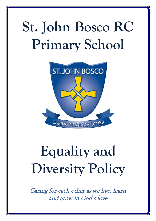# **St. John Bosco RC Primary School**



# **Equality and Diversity Policy**

Caring for each other as we live, learn and grow in God's love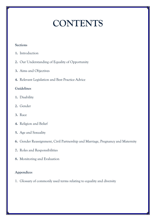## **CONTENTS**

#### **Sections**

- **1.** Introduction
- **2.** Our Understanding of Equality of Opportunity
- **3.** Aims and Objectives
- **4.** Relevant Legislation and Best Practice Advice

#### **Guidelines**

- **1.** Disability
- **2.** Gender
- **3.** Race
- **4.** Religion and Belief
- **5.** Age and Sexuality
- **6.** Gender Reassignment, Civil Partnership and Marriage, Pregnancy and Maternity
- **7.** Roles and Responsibilities
- **8.** Monitoring and Evaluation

#### **Appendices**

1. Glossary of commonly used terms relating to equality and diversity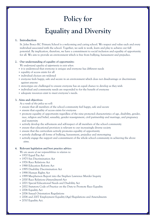### **Policy for**

### **Equality and Diversity**

#### **1. Introduction**

St. John Bosco RC Primary School is a welcoming and caring school. We respect and value each and every individual associated with the school. Together, we seek to work, learn and play to achieve our full potential. By implication, therefore, we have a commitment to social inclusion and equality of opportunity for all. We aim to provide an environment which is free from bullying, harassment and prejudice.

#### **2. Our understanding of equality of opportunity:**

*We understand equality of opportunity to exist when:*

- it is understood that everyone is unique and everyone has different needs
- equality of access exists for all
- individual choices are widened
- everyone feels happy, safe and secure in an environment which does not disadvantage or discriminate against anyone
- stereotypes are challenged to ensure everyone has an equal chance to develop as they wish
- individual and community needs are responded to for the benefit of everyone
- adequate resources exist to meet everyone's needs.

#### **3. Aims and objectives:**

*As a result of this policy we will:*

- ensure that all members of the school community feel happy, safe and secure
- ensure that equality of access exists for everyone
- promote equality of opportunity regardless of the nine protected characteristics of age, disability, gender, race, religion and belief, sexuality, gender reassignment, civil partnership and marriage, and pregnancy and maternity
- actively develop the self-esteem and self-respect of all members of the school community
- ensure that educational provision is relevant to our increasingly diverse society
- ensure that the curriculum actively promotes equality of opportunity
- actively challenge all forms of bullying, harassment, prejudice and stereotyping
- actively engage the support and commitment of the whole school community in achieving the above aims.

#### **4. Relevant legislation and best practice advice:**

*We are aware of our responsibilities in relation to:*

- 1970 Equal Pay Act
- 1975 Sex Discrimination Act
- 1976 Race Relations Act
- 1988 Education Reform Act
- 1995 Disability Discrimination Act
- 1998 Human Rights Act
- 1999 Macpherson Report into the Stephen Lawrence Murder Inquiry
- 2000 Race Relations (Amendment) Act
- 2001 Special Educational Needs and Disability Act
- 2002 Statutory Code of Practice on the Duty to Promote Race Equality
- 2006 Equality Act
- 2006 Sexual Orientation Regulations
- 2006 and 2007 Employment Equality (Age) Regulations and Amendments
- 2010 Equality Act.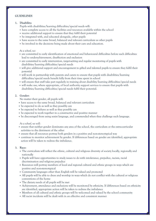#### **GUIDELINES**

#### **1. Disability:**

- Pupils with disabilities/learning difficulties/special needs will:
- have complete access to all the facilities and resources available within the school
- receive additional support to ensure that they fulfil their potential
- be integrated with, and educated alongside, other pupils
- have access to the same broad, balanced and relevant curriculum as other pupils
- be involved in the decisions being made about their care and education.

#### *As a school, we:*

- are committed to early identification of emotional and behavioural difficulties before such difficulties lead to underachievement, disaffection and exclusion
- are committed to early intervention, target-setting and regular monitoring of pupils with disabilities/learning difficulties/special needs
- will give additional support and encouragement to gifted and talented pupils to ensure they fulfil their potential
- will work in partnership with parents and carers to ensure that pupils with disabilities/learning difficulties/special needs benefit fully from their time spent in school
- will ensure that staff take part regularly in training about disability/learning difficulties/special needs
- will make use, where appropriate, of local authority support services to ensure that pupils with disabilities/learning difficulties/special needs fulfil their potential.

#### **2. Gender:**

No matter their gender, all pupils will:

- have access to the same broad, balanced and relevant curriculum
- be expected to do as well as they possibly can
- be expected to behave as well as they possibly can
- be expected to work together in a constructive and positive manner
- be discouraged from using sexist language, and commended when they challenge such language.

#### *As a school, we will:*

- ensure that neither gender dominates any area of the school, the curriculum or the extra-curricular activities to the detriment of the other
- ensure that all resources portray both genders in a positive and non-stereotypical way
- continue to monitor achievement by gender. If differences based on gender are identified, appropriate action will be taken to redress the imbalance.

#### **3. Race:**

- The curriculum will reflect the ethnic, cultural and religious diversity of society locally, regionally and nationally
- Pupils will have opportunities to study issues to do with intolerance, prejudice, racism, racial discrimination and religious prejudice
- Resources will portray members of local and regional cultural and ethnic groups in ways which are positive and non-stereotypical
- Community languages other than English will be valued and promoted
- All pupils will be able to dress and worship in ways which do not conflict with the cultural or religious conventions of the home
- The dietary needs of all pupils will be met
- Achievement, attendance and exclusions will be monitored by ethnicity. If differences based on ethnicity are identified, appropriate action will be taken to redress the imbalance
- Members of all cultural and ethnic groups will be welcomed and valued by the school community
- All racist incidents will be dealt with in an effective and consistent manner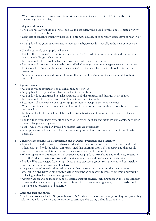When posts in school become vacant, we will encourage applications from all groups within our increasingly diverse society.

#### **4. Religion and Belief:**

- The National Curriculum in general, and RE in particular, will be used to value and celebrate diversity based on religion and belief
- Daily acts of collective worship will be used to promote equality of opportunity irrespective of religion or belief
- All pupils will be given opportunities to meet their religious needs, especially at the time of important festivals
- The dietary needs of all pupils will be met
- Pupils will be discouraged from using offensive language based on religion or belief, and commended when they challenge such language
- Resources will reflect people subscribing to a variety of religions and beliefs
- Resources will show people of all religions and beliefs engaged in non-stereotypical roles and activities
- People of all religions and beliefs will be encouraged to play an active role in school life, perhaps as governors
- As far as is possible, our staff team will reflect the variety of religions and beliefs that exist locally and regionally.

#### **5. Age and Sexuality:**

- All pupils will be expected to do as well as they possibly can
- All pupils will be expected to behave as well as they possibly can
- All pupils will be encouraged to make equal use of all the resources and facilities in the school
- Resources will reflect the variety of families that exist in Britain today
- Resources will show people of all ages engaged in non-stereotypical roles and activities
- Where appropriate, the National Curriculum will be used to value and celebrate diversity based on age and sexuality
- Daily acts of collective worship will be used to promote equality of opportunity irrespective of age or sexuality
- Pupils will be discouraged from using offensive language about age and sexuality, and commended when they challenge such language
- People will be welcomed and valued no matter their age or sexuality
- Appropriate use will be made of local authority support services to ensure that all pupils fulfil their potential.

#### **6. Gender Reassignment, Civil Partnership and Marriage, Pregnancy and Maternity:**

- In relation to the three protected characteristics above, parents, carers, visitors, members of staff and all others associated with the school can rest assured that discrimination will not occur, and that people's rights as defined in legislation relating to the characteristics will be respected
- Where appropriate, opportunities will be provided for pupils to learn about, and to discuss, matters to do with gender reassignment, civil partnership and marriage, and pregnancy and maternity
- Pupils will be discouraged from using offensive language about gender reassignment, civil partnership and marriage, and pregnancy and maternity
- people will be welcomed and valued no matter their personal circumstances, their marital status, whether in a civil partnership or not, whether pregnant or on maternity leave, or whether undertaking, or having undertaken, gender reassignment
- Appropriate use will be made of suitable external support services, including those in the local authority, to ensure that equality of opportunity exists in relation to gender reassignment, civil partnership and marriage, and pregnancy and maternity.

#### **7. Roles and Responsibilities**

 All who are associated with St. John Bosco RCVA Primary School have a responsibility for promoting inclusion, equality, diversity and community cohesion, and avoiding unfair discrimination.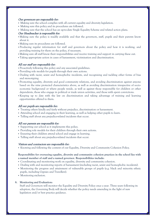#### Our governors are responsible for:

- Making sure the school complies with all current equality and diversity legislation.
- Making sure this policy and its procedures are followed.
- Making sure that the school has an up-to-date Single Equality Scheme and related action plans.

#### Our Headteacher is responsible for:

- Making sure the policy is readily available and that the governors, staff, pupils and their parents know about it.
- Making sure its procedures are followed.
- Producing regular information for staff and governors about the policy and how it is working, and providing training for them on the policy, if necessary.
- Making sure all staff know their responsibilities and receive training and support in carrying these out.
- Taking appropriate action in cases of harassment, victimisation and discrimination.

#### All our staff are responsible for:

- Proactively following this policy and any associated guidelines.
- Providing role models for pupils through their own actions.
- Dealing with racist, sexist and homophobic incidents, and recognising and tackling other forms of bias and stereotyping.
- Promoting equality, diversity and good community relations, and avoiding discrimination against anyone based on the nine protected characteristics above, as well as avoiding discrimination irrespective of socioeconomic background or where people reside, as well as against those responsible for children or other dependents, those who engage in political or trade union activities, and those with spent convictions.
- Keeping up to date with the law on discrimination and taking advantage of training and learning opportunities offered to them.

#### All our pupils are responsible for:

- Treating others kindly and fairly without prejudice, discrimination or harassment.
- Attending school and engaging in their learning, as well as helping other pupils to learn.
- Telling staff about any prejudice-related incidents that occur.

#### All our parents are responsible for:

- Supporting our school as it implements this policy.
- Providing role models for their children through their own actions.
- Ensuring their children attend school and engage in learning.
- Telling staff about any prejudice-related incidents that occur.

#### Visitors and contractors are responsible for:

Knowing and following the content of our Equality, Diversity and Community Cohesion Policy.

#### **Responsibility for overseeing equality, diversity and community cohesion practices in the school lies with a named member of staff and a named governor. Responsibilities include:**

- Coordinating and monitoring work on equality, diversity and community cohesion.
- Dealing with and monitoring reports of harassment (including racist, sexist and homophobic incidents).
- Monitoring the progress and attainment of vulnerable groups of pupils (e.g. black and minority ethnic pupils, including Gypsies and Travellers).
- Monitoring exclusion.

#### **8. Monitoring and Evaluation:**

Staff and Governors will monitor the Equality and Diversity Policy once a year. Three years following its adoption, the Governing Body will decide whether the policy needs amending in the light of new legislation and/or best practice guidance.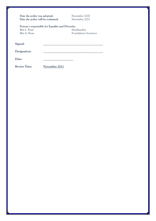| Date the policy was adopted:<br>Date the policy will be evaluated: |                                                  | November 2020<br>November 2021 |
|--------------------------------------------------------------------|--------------------------------------------------|--------------------------------|
|                                                                    | Person/s responsible for Equality and Diversity: |                                |
| Mrs L. Peart                                                       |                                                  | Headteacher                    |
| Mrs A. Bone                                                        |                                                  | <b>Foundation Governor</b>     |
| Signed:<br>Designation:                                            |                                                  |                                |
| Date:                                                              |                                                  |                                |
| <b>Review Date:</b>                                                | <b>November 2021</b>                             |                                |

نی

Ŧ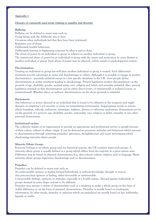#### **Appendix 1**

#### **Glossary of commonly used terms relating to equality and diversity**

#### **Bullying:**

Bullying can be defined in many ways such as: Doing things with the deliberate aim to hurt. Occasions when individuals feel that they have been victimised. Repetitive acts of abuse. Deliberately hurtful behaviour. Deliberately hurting or frightening someone by what is said or done. The abuse of power by an individual or group in relation to another individual or group. The intentional abuse of power by an individual or group with the intent and motivation to cause distress to another individual or group. Such abuse of power may be physical, verbal, sexual or psychological in nature.

#### **Discrimination:**

Treating an individual or group less well than another individual or group is treated. Such differential treatment accords advantages to some and disadvantages to others. Although it is possible to engage in positive discrimination - presently unlawful except in a few specific situations in the UK - most people define discrimination as unfair treatment leading to disadvantage. Present legislation renders discrimination on the grounds of age, disability, gender, marital status, race, religion and belief, and sexuality unlawful. Also, present legislation reminds us that discrimination can be either direct (overt, or intentional)) or indirect (covert, or unintentional). Whether direct or indirect, discrimination on the above grounds is unlawful.

#### **Harassment:**

Any behaviour or action directed at an individual that is found to be offensive to the recipient and might threaten an employee's job security or create an intimidating environment. Inappropriate words or actions which humiliate, ridicule, embarrass, intimidate, frighten, distress or otherwise undermine. Harassment can be on the grounds of a person's age, disability, gender, nationality, race, religion or belief, sexuality or any other personal characteristic.

#### **Institutional racism:**

The collective failure of an organisation to provide an appropriate and professional service to people because of their colour, culture or ethnic origin. It can be detected in processes, attitudes and behaviour which amount to discrimination through unwitting prejudice, ignorance, thoughtlessness and racist stereotyping which disadvantage minority ethnic people.

#### **Minority Ethnic Group:**

Everyone belongs to an ethnic group and, for historical reasons, the UK contains many such groups. A minority ethnic group is usually defined as a group which differs from the majority in a given nation state. Difference may be based on physical characteristics (e.g. skin colour), culture, religion and/or language. Many minority ethnic groups experience disadvantage and/or discrimination.

#### **Prejudice:**

Prejudice can be defined in many ways such as:

An unfavourable opinion or feeling formed beforehand or without knowledge, thought or reason. Any preconceived opinion or feeling, either favourable or unfavourable.

Unreasonable feelings, opinions or attitudes, especially of a hostile nature, directed against individuals or groups deemed in some shape or form to be different.

Prejudice may assume a variety of characteristics such as a tendency to judge a whole group on the basis of visible difference or on the basis of assumed characteristics. Prejudice is usually based on inadequate information. In other words, attitudes or opinions which are prejudiced are usually based on lies, half-truths, legends or myths.